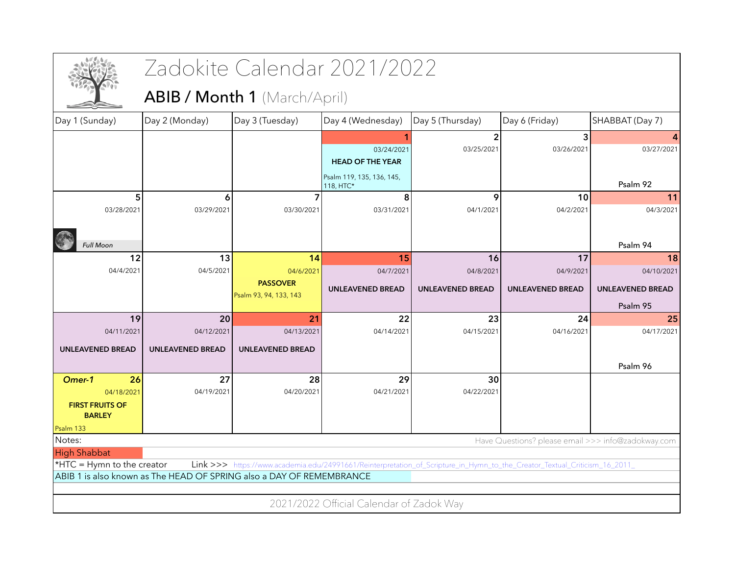|                                                                      |                         | Zadokite Calendar 2021/2022                                                                                                |                                          |                         |                                                    |                         |
|----------------------------------------------------------------------|-------------------------|----------------------------------------------------------------------------------------------------------------------------|------------------------------------------|-------------------------|----------------------------------------------------|-------------------------|
|                                                                      |                         | <b>ABIB / Month 1</b> (March/April)                                                                                        |                                          |                         |                                                    |                         |
| Day 1 (Sunday)                                                       | Day 2 (Monday)          | Day 3 (Tuesday)                                                                                                            | Day 4 (Wednesday)                        | Day 5 (Thursday)        | Day 6 (Friday)                                     | SHABBAT (Day 7)         |
|                                                                      |                         |                                                                                                                            |                                          |                         | 3                                                  |                         |
|                                                                      |                         |                                                                                                                            | 03/24/2021                               | 03/25/2021              | 03/26/2021                                         | 03/27/2021              |
|                                                                      |                         |                                                                                                                            | <b>HEAD OF THE YEAR</b>                  |                         |                                                    |                         |
|                                                                      |                         |                                                                                                                            | Psalm 119, 135, 136, 145,<br>118, HTC*   |                         |                                                    | Psalm 92                |
| 5                                                                    | 6                       |                                                                                                                            | 8                                        | 9                       | 10                                                 | 11                      |
| 03/28/2021                                                           | 03/29/2021              | 03/30/2021                                                                                                                 | 03/31/2021                               | 04/1/2021               | 04/2/2021                                          | 04/3/2021               |
|                                                                      |                         |                                                                                                                            |                                          |                         |                                                    |                         |
| <b>Full Moon</b>                                                     |                         |                                                                                                                            |                                          |                         |                                                    | Psalm 94                |
| 12                                                                   | 13                      | 14                                                                                                                         | 15                                       | 16                      | 17                                                 | 18                      |
| 04/4/2021                                                            | 04/5/2021               | 04/6/2021                                                                                                                  | 04/7/2021                                | 04/8/2021               | 04/9/2021                                          | 04/10/2021              |
|                                                                      |                         | <b>PASSOVER</b>                                                                                                            |                                          |                         |                                                    |                         |
|                                                                      |                         | Psalm 93, 94, 133, 143                                                                                                     | <b>UNLEAVENED BREAD</b>                  | <b>UNLEAVENED BREAD</b> | <b>UNLEAVENED BREAD</b>                            | <b>UNLEAVENED BREAD</b> |
|                                                                      |                         |                                                                                                                            |                                          |                         |                                                    | Psalm 95                |
| 19                                                                   | 20                      | 21                                                                                                                         | 22                                       | 23                      | 24                                                 | 25                      |
| 04/11/2021                                                           | 04/12/2021              | 04/13/2021                                                                                                                 | 04/14/2021                               | 04/15/2021              | 04/16/2021                                         | 04/17/2021              |
| <b>UNLEAVENED BREAD</b>                                              | <b>UNLEAVENED BREAD</b> | <b>UNLEAVENED BREAD</b>                                                                                                    |                                          |                         |                                                    |                         |
|                                                                      |                         |                                                                                                                            |                                          |                         |                                                    | Psalm 96                |
| 26<br>Omer-1                                                         | 27                      | 28                                                                                                                         | 29                                       | 30                      |                                                    |                         |
| 04/18/2021                                                           | 04/19/2021              | 04/20/2021                                                                                                                 | 04/21/2021                               | 04/22/2021              |                                                    |                         |
| <b>FIRST FRUITS OF</b>                                               |                         |                                                                                                                            |                                          |                         |                                                    |                         |
| <b>BARLEY</b>                                                        |                         |                                                                                                                            |                                          |                         |                                                    |                         |
| Psalm 133                                                            |                         |                                                                                                                            |                                          |                         |                                                    |                         |
| Notes:                                                               |                         |                                                                                                                            |                                          |                         | Have Questions? please email >>> info@zadokway.com |                         |
| <b>High Shabbat</b><br>*HTC = Hymn to the creator                    |                         | Link >>> https://www.academia.edu/24991661/Reinterpretation_of_Scripture_in_Hymn_to_the_Creator_Textual_Criticism_16_2011_ |                                          |                         |                                                    |                         |
| ABIB 1 is also known as The HEAD OF SPRING also a DAY OF REMEMBRANCE |                         |                                                                                                                            |                                          |                         |                                                    |                         |
|                                                                      |                         |                                                                                                                            |                                          |                         |                                                    |                         |
|                                                                      |                         |                                                                                                                            |                                          |                         |                                                    |                         |
|                                                                      |                         |                                                                                                                            | 2021/2022 Official Calendar of Zadok Way |                         |                                                    |                         |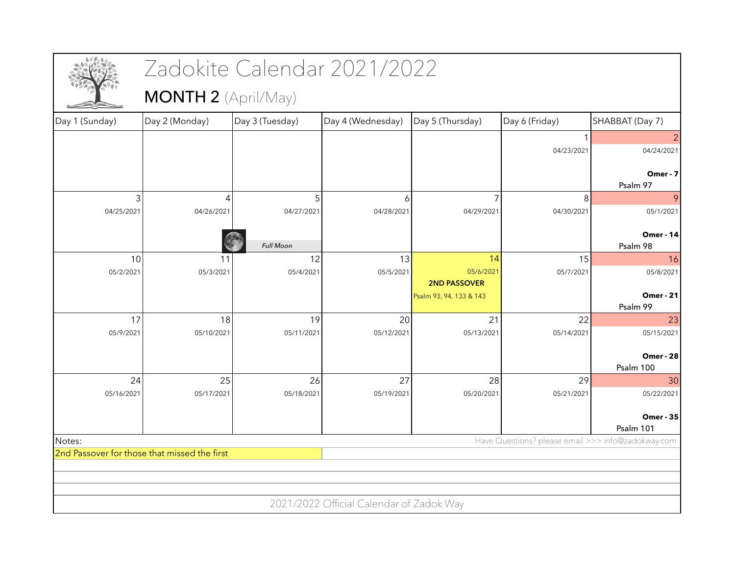|                |                                              | Zadokite Calendar 2021/2022 |                                          |                                                |                |                                                    |
|----------------|----------------------------------------------|-----------------------------|------------------------------------------|------------------------------------------------|----------------|----------------------------------------------------|
|                | <b>MONTH 2</b> (April/May)                   |                             |                                          |                                                |                |                                                    |
| Day 1 (Sunday) | Day 2 (Monday)                               | Day 3 (Tuesday)             | Day 4 (Wednesday)                        | Day 5 (Thursday)                               | Day 6 (Friday) | SHABBAT (Day 7)                                    |
|                |                                              |                             |                                          |                                                |                | $\overline{2}$                                     |
|                |                                              |                             |                                          |                                                | 04/23/2021     | 04/24/2021                                         |
|                |                                              |                             |                                          |                                                |                | Omer - 7<br>Psalm 97                               |
| 3              | 4                                            |                             | 6                                        |                                                | 8              | 9                                                  |
| 04/25/2021     | 04/26/2021                                   | 04/27/2021                  | 04/28/2021                               | 04/29/2021                                     | 04/30/2021     | 05/1/2021                                          |
|                |                                              |                             |                                          |                                                |                |                                                    |
|                |                                              | <b>Full Moon</b>            |                                          |                                                |                | <b>Omer - 14</b><br>Psalm 98                       |
| 10             | 11                                           | 12                          | 13                                       | 14                                             | 15             | 16                                                 |
| 05/2/2021      | 05/3/2021                                    | 05/4/2021                   | 05/5/2021                                | 05/6/2021                                      | 05/7/2021      | 05/8/2021                                          |
|                |                                              |                             |                                          | <b>2ND PASSOVER</b><br>Psalm 93, 94, 133 & 143 |                | <b>Omer - 21</b>                                   |
|                |                                              |                             |                                          |                                                |                | Psalm 99                                           |
| 17             | 18                                           | 19                          | 20                                       | 21                                             | 22             | 23                                                 |
| 05/9/2021      | 05/10/2021                                   | 05/11/2021                  | 05/12/2021                               | 05/13/2021                                     | 05/14/2021     | 05/15/2021                                         |
|                |                                              |                             |                                          |                                                |                | <b>Omer - 28</b>                                   |
|                |                                              |                             |                                          |                                                |                | Psalm 100                                          |
| 24             | 25                                           | 26                          | 27                                       | 28                                             | 29             | 30                                                 |
| 05/16/2021     | 05/17/2021                                   | 05/18/2021                  | 05/19/2021                               | 05/20/2021                                     | 05/21/2021     | 05/22/2021                                         |
|                |                                              |                             |                                          |                                                |                | <b>Omer - 35</b>                                   |
|                |                                              |                             |                                          |                                                |                | Psalm 101                                          |
| Notes:         | 2nd Passover for those that missed the first |                             |                                          |                                                |                | Have Questions? please email >>> info@zadokway.com |
|                |                                              |                             |                                          |                                                |                |                                                    |
|                |                                              |                             |                                          |                                                |                |                                                    |
|                |                                              |                             |                                          |                                                |                |                                                    |
|                |                                              |                             | 2021/2022 Official Calendar of Zadok Way |                                                |                |                                                    |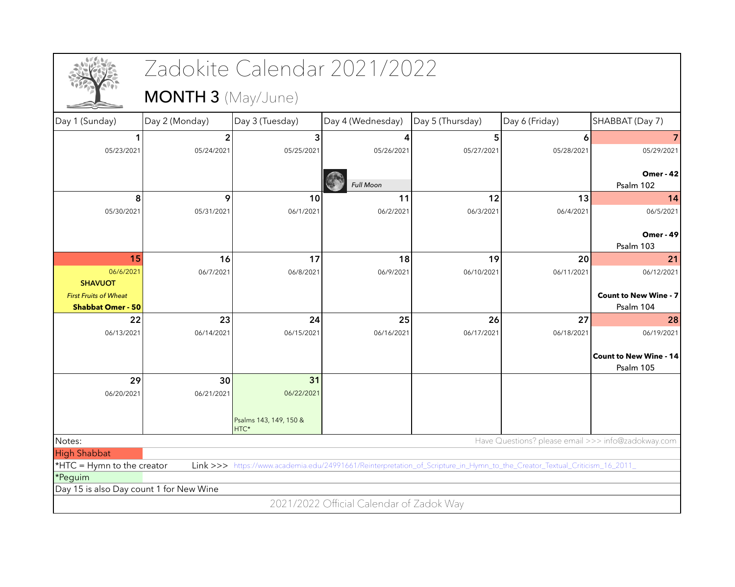|                                         |                           | Zadokite Calendar 2021/2022                                                                                                |                                          |                  |                                                    |                               |
|-----------------------------------------|---------------------------|----------------------------------------------------------------------------------------------------------------------------|------------------------------------------|------------------|----------------------------------------------------|-------------------------------|
|                                         | <b>MONTH 3</b> (May/June) |                                                                                                                            |                                          |                  |                                                    |                               |
| Day 1 (Sunday)                          | Day 2 (Monday)            | Day 3 (Tuesday)                                                                                                            | Day 4 (Wednesday)                        | Day 5 (Thursday) | Day 6 (Friday)                                     | SHABBAT (Day 7)               |
|                                         | 2                         | 3                                                                                                                          |                                          | 5                | 6                                                  |                               |
| 05/23/2021                              | 05/24/2021                | 05/25/2021                                                                                                                 | 05/26/2021                               | 05/27/2021       | 05/28/2021                                         | 05/29/2021                    |
|                                         |                           |                                                                                                                            |                                          |                  |                                                    | <b>Omer - 42</b>              |
|                                         |                           |                                                                                                                            | <b>Full Moon</b>                         |                  |                                                    | Psalm 102                     |
| 8                                       | 9                         | 10                                                                                                                         | 11                                       | 12               | 13                                                 | 14                            |
| 05/30/2021                              | 05/31/2021                | 06/1/2021                                                                                                                  | 06/2/2021                                | 06/3/2021        | 06/4/2021                                          | 06/5/2021                     |
|                                         |                           |                                                                                                                            |                                          |                  |                                                    |                               |
|                                         |                           |                                                                                                                            |                                          |                  |                                                    | <b>Omer - 49</b><br>Psalm 103 |
| 15                                      | 16                        | 17                                                                                                                         | 18                                       | 19               | 20                                                 | 21                            |
| 06/6/2021                               | 06/7/2021                 | 06/8/2021                                                                                                                  | 06/9/2021                                | 06/10/2021       | 06/11/2021                                         | 06/12/2021                    |
| <b>SHAVUOT</b>                          |                           |                                                                                                                            |                                          |                  |                                                    |                               |
| <b>First Fruits of Wheat</b>            |                           |                                                                                                                            |                                          |                  |                                                    | <b>Count to New Wine - 7</b>  |
| <b>Shabbat Omer - 50</b>                |                           |                                                                                                                            |                                          |                  |                                                    | Psalm 104                     |
| 22                                      | 23                        | 24                                                                                                                         | 25                                       | 26               | 27                                                 | 28                            |
| 06/13/2021                              | 06/14/2021                | 06/15/2021                                                                                                                 | 06/16/2021                               | 06/17/2021       | 06/18/2021                                         | 06/19/2021                    |
|                                         |                           |                                                                                                                            |                                          |                  |                                                    | <b>Count to New Wine - 14</b> |
|                                         |                           |                                                                                                                            |                                          |                  |                                                    | Psalm 105                     |
| 29                                      | 30                        | 31                                                                                                                         |                                          |                  |                                                    |                               |
| 06/20/2021                              | 06/21/2021                | 06/22/2021                                                                                                                 |                                          |                  |                                                    |                               |
|                                         |                           |                                                                                                                            |                                          |                  |                                                    |                               |
|                                         |                           | Psalms 143, 149, 150 &<br>HTC*                                                                                             |                                          |                  |                                                    |                               |
| Notes:                                  |                           |                                                                                                                            |                                          |                  | Have Questions? please email >>> info@zadokway.com |                               |
| <b>High Shabbat</b>                     |                           |                                                                                                                            |                                          |                  |                                                    |                               |
| *HTC = Hymn to the creator              |                           | Link >>> https://www.academia.edu/24991661/Reinterpretation_of_Scripture_in_Hymn_to_the_Creator_Textual_Criticism_16_2011_ |                                          |                  |                                                    |                               |
| *Peguim                                 |                           |                                                                                                                            |                                          |                  |                                                    |                               |
| Day 15 is also Day count 1 for New Wine |                           |                                                                                                                            |                                          |                  |                                                    |                               |
|                                         |                           |                                                                                                                            | 2021/2022 Official Calendar of Zadok Way |                  |                                                    |                               |
|                                         |                           |                                                                                                                            |                                          |                  |                                                    |                               |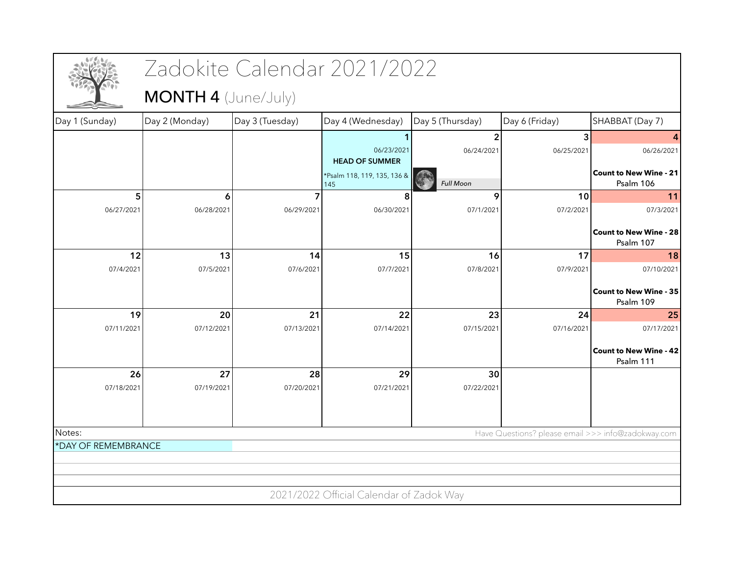|                     |                            | Zadokite Calendar 2021/2022 |                                          |                  |                                                    |                                            |
|---------------------|----------------------------|-----------------------------|------------------------------------------|------------------|----------------------------------------------------|--------------------------------------------|
|                     | <b>MONTH 4 (June/July)</b> |                             |                                          |                  |                                                    |                                            |
| Day 1 (Sunday)      | Day 2 (Monday)             | Day 3 (Tuesday)             | Day 4 (Wednesday)                        | Day 5 (Thursday) | Day 6 (Friday)                                     | SHABBAT (Day 7)                            |
|                     |                            |                             |                                          |                  | 3                                                  |                                            |
|                     |                            |                             | 06/23/2021<br><b>HEAD OF SUMMER</b>      | 06/24/2021       | 06/25/2021                                         | 06/26/2021                                 |
|                     |                            |                             | *Psalm 118, 119, 135, 136 &              |                  |                                                    | <b>Count to New Wine - 21</b>              |
|                     |                            |                             | 145                                      | <b>Full Moon</b> |                                                    | Psalm 106                                  |
| 5<br>06/27/2021     | 6<br>06/28/2021            | 06/29/2021                  | 06/30/2021                               | 9<br>07/1/2021   | 10<br>07/2/2021                                    | 11<br>07/3/2021                            |
|                     |                            |                             |                                          |                  |                                                    |                                            |
|                     |                            |                             |                                          |                  |                                                    | <b>Count to New Wine - 28</b><br>Psalm 107 |
| 12                  | 13                         | 14                          | 15                                       | 16               | 17                                                 | 18                                         |
| 07/4/2021           | 07/5/2021                  | 07/6/2021                   | 07/7/2021                                | 07/8/2021        | 07/9/2021                                          | 07/10/2021                                 |
|                     |                            |                             |                                          |                  |                                                    | <b>Count to New Wine - 35</b><br>Psalm 109 |
| 19                  | 20                         | 21                          | 22                                       | 23               | 24                                                 | 25                                         |
| 07/11/2021          | 07/12/2021                 | 07/13/2021                  | 07/14/2021                               | 07/15/2021       | 07/16/2021                                         | 07/17/2021                                 |
|                     |                            |                             |                                          |                  |                                                    | <b>Count to New Wine - 42</b><br>Psalm 111 |
| 26                  | 27                         | 28                          | 29                                       | 30               |                                                    |                                            |
| 07/18/2021          | 07/19/2021                 | 07/20/2021                  | 07/21/2021                               | 07/22/2021       |                                                    |                                            |
|                     |                            |                             |                                          |                  |                                                    |                                            |
| Notes:              |                            |                             |                                          |                  | Have Questions? please email >>> info@zadokway.com |                                            |
| *DAY OF REMEMBRANCE |                            |                             |                                          |                  |                                                    |                                            |
|                     |                            |                             |                                          |                  |                                                    |                                            |
|                     |                            |                             |                                          |                  |                                                    |                                            |
|                     |                            |                             | 2021/2022 Official Calendar of Zadok Way |                  |                                                    |                                            |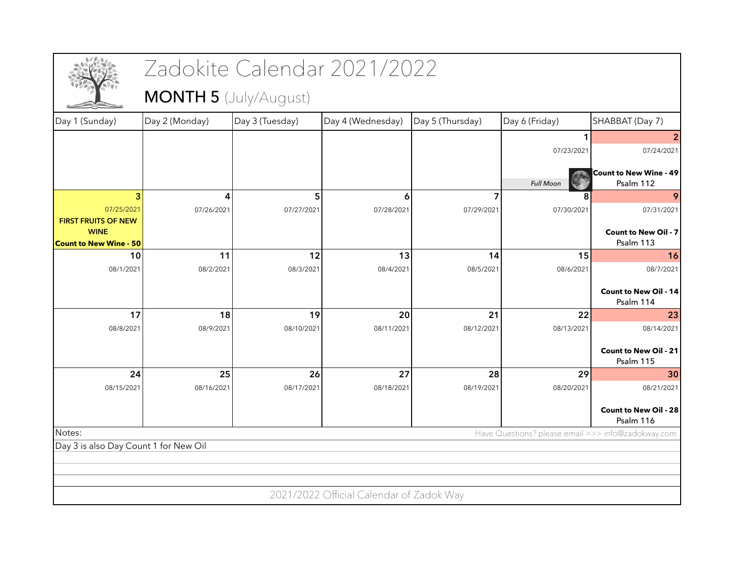|                                              |                              | Zadokite Calendar 2021/2022 |                                          |                  |                                                    |                                            |
|----------------------------------------------|------------------------------|-----------------------------|------------------------------------------|------------------|----------------------------------------------------|--------------------------------------------|
|                                              | <b>MONTH 5</b> (July/August) |                             |                                          |                  |                                                    |                                            |
| Day 1 (Sunday)                               | Day 2 (Monday)               | Day 3 (Tuesday)             | Day 4 (Wednesday)                        | Day 5 (Thursday) | Day 6 (Friday)                                     | SHABBAT (Day 7)                            |
|                                              |                              |                             |                                          |                  |                                                    |                                            |
|                                              |                              |                             |                                          |                  | 07/23/2021                                         | 07/24/2021                                 |
|                                              |                              |                             |                                          |                  | <b>Full Moon</b>                                   | <b>Count to New Wine - 49</b><br>Psalm 112 |
| 3                                            | 4                            | 5                           | 6                                        | 7                |                                                    | 9                                          |
| 07/25/2021<br><b>FIRST FRUITS OF NEW</b>     | 07/26/2021                   | 07/27/2021                  | 07/28/2021                               | 07/29/2021       | 07/30/2021                                         | 07/31/2021                                 |
| <b>WINE</b><br><b>Count to New Wine - 50</b> |                              |                             |                                          |                  |                                                    | <b>Count to New Oil - 7</b><br>Psalm 113   |
| 10                                           | 11                           | 12                          | 13                                       | 14               | 15                                                 | <b>16</b>                                  |
| 08/1/2021                                    | 08/2/2021                    | 08/3/2021                   | 08/4/2021                                | 08/5/2021        | 08/6/2021                                          | 08/7/2021                                  |
|                                              |                              |                             |                                          |                  |                                                    | <b>Count to New Oil - 14</b><br>Psalm 114  |
| 17                                           | 18                           | 19                          | 20                                       | 21               | 22                                                 | 23                                         |
| 08/8/2021                                    | 08/9/2021                    | 08/10/2021                  | 08/11/2021                               | 08/12/2021       | 08/13/2021                                         | 08/14/2021                                 |
|                                              |                              |                             |                                          |                  |                                                    | <b>Count to New Oil - 21</b><br>Psalm 115  |
| 24                                           | 25                           | 26                          | 27                                       | 28               | 29                                                 | 30                                         |
| 08/15/2021                                   | 08/16/2021                   | 08/17/2021                  | 08/18/2021                               | 08/19/2021       | 08/20/2021                                         | 08/21/2021                                 |
|                                              |                              |                             |                                          |                  |                                                    | <b>Count to New Oil - 28</b><br>Psalm 116  |
| Notes:                                       |                              |                             |                                          |                  | Have Questions? please email >>> info@zadokway.com |                                            |
| Day 3 is also Day Count 1 for New Oil        |                              |                             |                                          |                  |                                                    |                                            |
|                                              |                              |                             |                                          |                  |                                                    |                                            |
|                                              |                              |                             |                                          |                  |                                                    |                                            |
|                                              |                              |                             | 2021/2022 Official Calendar of Zadok Way |                  |                                                    |                                            |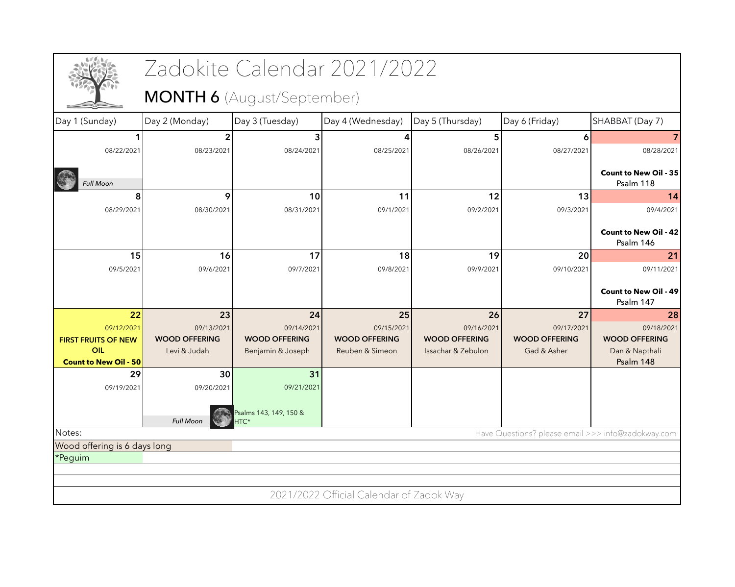|                                     |                      |                                | Zadokite Calendar 2021/2022              |                      |                      |                                                    |
|-------------------------------------|----------------------|--------------------------------|------------------------------------------|----------------------|----------------------|----------------------------------------------------|
|                                     |                      | MONTH 6 (August/September)     |                                          |                      |                      |                                                    |
| Day 1 (Sunday)                      | Day 2 (Monday)       | Day 3 (Tuesday)                | Day 4 (Wednesday)                        | Day 5 (Thursday)     | Day 6 (Friday)       | SHABBAT (Day 7)                                    |
|                                     |                      |                                |                                          | 5                    | 6                    |                                                    |
| 08/22/2021                          | 08/23/2021           | 08/24/2021                     | 08/25/2021                               | 08/26/2021           | 08/27/2021           | 08/28/2021                                         |
| <b>Full Moon</b>                    |                      |                                |                                          |                      |                      | <b>Count to New Oil - 35</b><br>Psalm 118          |
| 8                                   | 9                    | 10                             | 11                                       | 12                   | 13                   | 14                                                 |
| 08/29/2021                          | 08/30/2021           | 08/31/2021                     | 09/1/2021                                | 09/2/2021            | 09/3/2021            | 09/4/2021                                          |
|                                     |                      |                                |                                          |                      |                      | <b>Count to New Oil - 42</b><br>Psalm 146          |
| 15                                  | 16                   | 17                             | 18                                       | 19                   | 20                   | 21                                                 |
| 09/5/2021                           | 09/6/2021            | 09/7/2021                      | 09/8/2021                                | 09/9/2021            | 09/10/2021           | 09/11/2021                                         |
|                                     |                      |                                |                                          |                      |                      | <b>Count to New Oil - 49</b>                       |
|                                     |                      |                                |                                          |                      |                      | Psalm 147                                          |
| 22                                  | 23                   | 24                             | 25                                       | 26                   | 27                   | 28                                                 |
| 09/12/2021                          | 09/13/2021           | 09/14/2021                     | 09/15/2021                               | 09/16/2021           | 09/17/2021           | 09/18/2021                                         |
| <b>FIRST FRUITS OF NEW</b>          | <b>WOOD OFFERING</b> | <b>WOOD OFFERING</b>           | <b>WOOD OFFERING</b>                     | <b>WOOD OFFERING</b> | <b>WOOD OFFERING</b> | <b>WOOD OFFERING</b>                               |
| OIL<br><b>Count to New Oil - 50</b> | Levi & Judah         | Benjamin & Joseph              | Reuben & Simeon                          | Issachar & Zebulon   | Gad & Asher          | Dan & Napthali<br>Psalm 148                        |
| 29                                  | 30                   | 31                             |                                          |                      |                      |                                                    |
| 09/19/2021                          | 09/20/2021           | 09/21/2021                     |                                          |                      |                      |                                                    |
|                                     | <b>Full Moon</b>     | Psalms 143, 149, 150 &<br>HTC* |                                          |                      |                      |                                                    |
| Notes:                              |                      |                                |                                          |                      |                      | Have Questions? please email >>> info@zadokway.com |
| Wood offering is 6 days long        |                      |                                |                                          |                      |                      |                                                    |
| *Peguim                             |                      |                                |                                          |                      |                      |                                                    |
|                                     |                      |                                |                                          |                      |                      |                                                    |
|                                     |                      |                                |                                          |                      |                      |                                                    |
|                                     |                      |                                | 2021/2022 Official Calendar of Zadok Way |                      |                      |                                                    |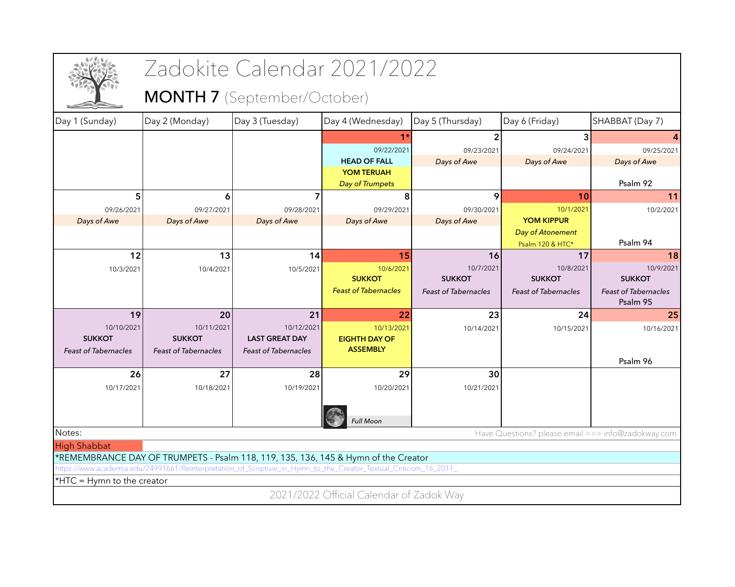|                             |                                                                                                                  | Zadokite Calendar 2021/2022 |                                          |                             |                                                    |                             |
|-----------------------------|------------------------------------------------------------------------------------------------------------------|-----------------------------|------------------------------------------|-----------------------------|----------------------------------------------------|-----------------------------|
|                             |                                                                                                                  | MONTH 7 (September/October) |                                          |                             |                                                    |                             |
| Day 1 (Sunday)              | Day 2 (Monday)                                                                                                   | Day 3 (Tuesday)             | Day 4 (Wednesday)                        | Day 5 (Thursday)            | Day 6 (Friday)                                     | SHABBAT (Day 7)             |
|                             |                                                                                                                  |                             |                                          |                             | 3                                                  |                             |
|                             |                                                                                                                  |                             | 09/22/2021                               | 09/23/2021                  | 09/24/2021                                         | 09/25/2021                  |
|                             |                                                                                                                  |                             | <b>HEAD OF FALL</b>                      | Days of Awe                 | Days of Awe                                        | Days of Awe                 |
|                             |                                                                                                                  |                             | <b>YOM TERUAH</b>                        |                             |                                                    |                             |
|                             |                                                                                                                  |                             | Day of Trumpets                          |                             |                                                    | Psalm 92                    |
| 5                           | 6                                                                                                                |                             | 8                                        | 9                           | 10                                                 | 11                          |
| 09/26/2021                  | 09/27/2021                                                                                                       | 09/28/2021                  | 09/29/2021                               | 09/30/2021                  | 10/1/2021                                          | 10/2/2021                   |
| Days of Awe                 | Days of Awe                                                                                                      | Days of Awe                 | Days of Awe                              | Days of Awe                 | <b>YOM KIPPUR</b>                                  |                             |
|                             |                                                                                                                  |                             |                                          |                             | Day of Atonement                                   | Psalm 94                    |
| 12                          |                                                                                                                  | 14                          | 15                                       |                             | Psalm 120 & HTC*<br>17                             | 18                          |
|                             | 13                                                                                                               |                             |                                          | 16                          |                                                    |                             |
| 10/3/2021                   | 10/4/2021                                                                                                        | 10/5/2021                   | 10/6/2021<br><b>SUKKOT</b>               | 10/7/2021<br><b>SUKKOT</b>  | 10/8/2021<br><b>SUKKOT</b>                         | 10/9/2021<br><b>SUKKOT</b>  |
|                             |                                                                                                                  |                             | <b>Feast of Tabernacles</b>              | <b>Feast of Tabernacles</b> | <b>Feast of Tabernacles</b>                        | <b>Feast of Tabernacles</b> |
|                             |                                                                                                                  |                             |                                          |                             |                                                    | Psalm 95                    |
| 19                          | 20                                                                                                               | 21                          | 22                                       | 23                          | 24                                                 | 25                          |
| 10/10/2021                  | 10/11/2021                                                                                                       | 10/12/2021                  | 10/13/2021                               | 10/14/2021                  | 10/15/2021                                         | 10/16/2021                  |
| <b>SUKKOT</b>               | <b>SUKKOT</b>                                                                                                    | <b>LAST GREAT DAY</b>       | <b>EIGHTH DAY OF</b>                     |                             |                                                    |                             |
| <b>Feast of Tabernacles</b> | <b>Feast of Tabernacles</b>                                                                                      | <b>Feast of Tabernacles</b> | <b>ASSEMBLY</b>                          |                             |                                                    |                             |
|                             |                                                                                                                  |                             |                                          |                             |                                                    | Psalm 96                    |
| 26                          | 27                                                                                                               | 28                          | 29                                       | 30                          |                                                    |                             |
| 10/17/2021                  | 10/18/2021                                                                                                       | 10/19/2021                  | 10/20/2021                               | 10/21/2021                  |                                                    |                             |
|                             |                                                                                                                  |                             |                                          |                             |                                                    |                             |
|                             |                                                                                                                  |                             | <b>Full Moon</b>                         |                             |                                                    |                             |
| Notes:                      |                                                                                                                  |                             |                                          |                             | Have Questions? please email >>> info@zadokway.com |                             |
| <b>High Shabbat</b>         |                                                                                                                  |                             |                                          |                             |                                                    |                             |
|                             | *REMEMBRANCE DAY OF TRUMPETS - Psalm 118, 119, 135, 136, 145 & Hymn of the Creator                               |                             |                                          |                             |                                                    |                             |
|                             | https://www.academia.edu/24991661/Reinterpretation_of_Scripture_in_Hymn_to_the_Creator_Textual_Criticism_16_2011 |                             |                                          |                             |                                                    |                             |
| *HTC = Hymn to the creator  |                                                                                                                  |                             |                                          |                             |                                                    |                             |
|                             |                                                                                                                  |                             | 2021/2022 Official Calendar of Zadok Way |                             |                                                    |                             |
|                             |                                                                                                                  |                             |                                          |                             |                                                    |                             |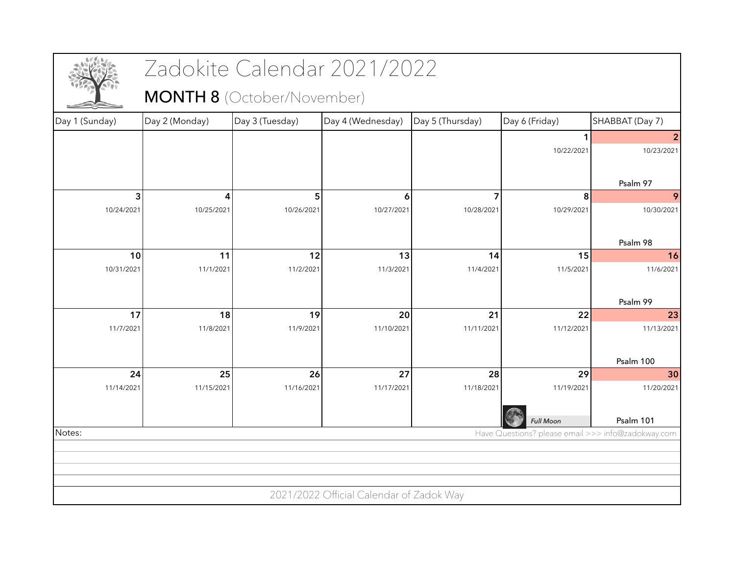|                |                | Zadokite Calendar 2021/2022       |                                          |                  |                  |                                                    |
|----------------|----------------|-----------------------------------|------------------------------------------|------------------|------------------|----------------------------------------------------|
|                |                | <b>MONTH 8</b> (October/November) |                                          |                  |                  |                                                    |
| Day 1 (Sunday) | Day 2 (Monday) | Day 3 (Tuesday)                   | Day 4 (Wednesday)                        | Day 5 (Thursday) | Day 6 (Friday)   | SHABBAT (Day 7)                                    |
|                |                |                                   |                                          |                  |                  |                                                    |
|                |                |                                   |                                          |                  | 10/22/2021       | 10/23/2021                                         |
|                |                |                                   |                                          |                  |                  |                                                    |
|                |                |                                   |                                          |                  |                  | Psalm 97                                           |
| 3              | 4              | 5                                 | $\vert 6 \vert$                          | 7                | 8                | 9                                                  |
| 10/24/2021     | 10/25/2021     | 10/26/2021                        | 10/27/2021                               | 10/28/2021       | 10/29/2021       | 10/30/2021                                         |
|                |                |                                   |                                          |                  |                  |                                                    |
|                |                |                                   |                                          |                  |                  | Psalm 98                                           |
| 10             | 11             | 12                                | 13                                       | 14               | 15               | 16                                                 |
| 10/31/2021     | 11/1/2021      | 11/2/2021                         | 11/3/2021                                | 11/4/2021        | 11/5/2021        | 11/6/2021                                          |
|                |                |                                   |                                          |                  |                  |                                                    |
|                |                |                                   |                                          |                  |                  | Psalm 99                                           |
| 17             | 18             | 19                                | 20                                       | 21               | 22               | 23                                                 |
| 11/7/2021      | 11/8/2021      | 11/9/2021                         | 11/10/2021                               | 11/11/2021       | 11/12/2021       | 11/13/2021                                         |
|                |                |                                   |                                          |                  |                  |                                                    |
|                |                |                                   |                                          |                  |                  | Psalm 100                                          |
| 24             | 25             | 26                                | 27                                       | 28               | 29               | 30                                                 |
| 11/14/2021     | 11/15/2021     | 11/16/2021                        | 11/17/2021                               | 11/18/2021       | 11/19/2021       | 11/20/2021                                         |
|                |                |                                   |                                          |                  |                  |                                                    |
|                |                |                                   |                                          |                  | <b>Full Moon</b> | Psalm 101                                          |
| Notes:         |                |                                   |                                          |                  |                  | Have Questions? please email >>> info@zadokway.com |
|                |                |                                   |                                          |                  |                  |                                                    |
|                |                |                                   |                                          |                  |                  |                                                    |
|                |                |                                   |                                          |                  |                  |                                                    |
|                |                |                                   | 2021/2022 Official Calendar of Zadok Way |                  |                  |                                                    |
|                |                |                                   |                                          |                  |                  |                                                    |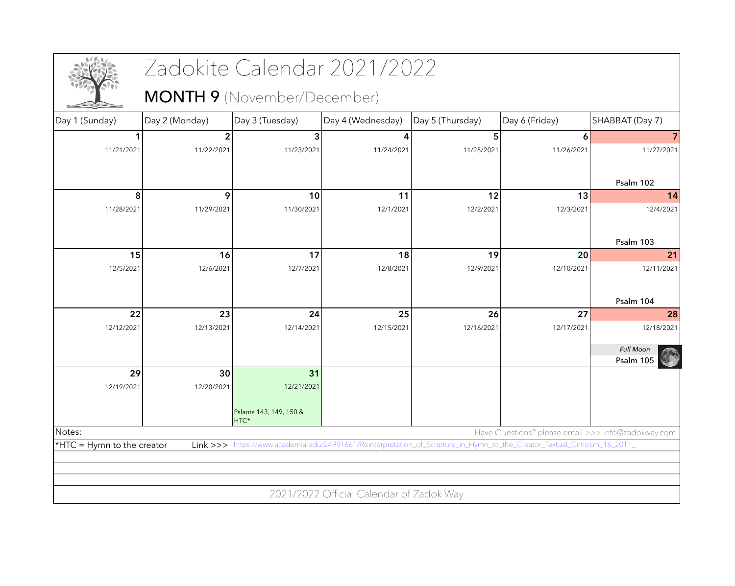|                            |                | Zadokite Calendar 2021/2022        |                                          |                  |                                                                                                                            |                  |
|----------------------------|----------------|------------------------------------|------------------------------------------|------------------|----------------------------------------------------------------------------------------------------------------------------|------------------|
|                            |                | <b>MONTH 9</b> (November/December) |                                          |                  |                                                                                                                            |                  |
| Day 1 (Sunday)             | Day 2 (Monday) | Day 3 (Tuesday)                    | Day 4 (Wednesday)                        | Day 5 (Thursday) | Day 6 (Friday)                                                                                                             | SHABBAT (Day 7)  |
|                            |                | 3                                  |                                          | 5                | 6                                                                                                                          |                  |
| 11/21/2021                 | 11/22/2021     | 11/23/2021                         | 11/24/2021                               | 11/25/2021       | 11/26/2021                                                                                                                 | 11/27/2021       |
|                            |                |                                    |                                          |                  |                                                                                                                            |                  |
|                            |                |                                    |                                          |                  |                                                                                                                            | Psalm 102        |
| 8                          | 9              | 10                                 | 11                                       | 12               | 13                                                                                                                         | 14               |
| 11/28/2021                 | 11/29/2021     | 11/30/2021                         | 12/1/2021                                | 12/2/2021        | 12/3/2021                                                                                                                  | 12/4/2021        |
|                            |                |                                    |                                          |                  |                                                                                                                            |                  |
|                            |                |                                    |                                          |                  |                                                                                                                            | Psalm 103        |
| 15                         | 16             | 17                                 | 18                                       | 19               | 20                                                                                                                         | 21               |
| 12/5/2021                  | 12/6/2021      | 12/7/2021                          | 12/8/2021                                | 12/9/2021        | 12/10/2021                                                                                                                 | 12/11/2021       |
|                            |                |                                    |                                          |                  |                                                                                                                            |                  |
|                            |                |                                    |                                          |                  |                                                                                                                            | Psalm 104        |
| 22                         | 23             | 24                                 | 25                                       | 26               | 27                                                                                                                         | 28               |
| 12/12/2021                 | 12/13/2021     | 12/14/2021                         | 12/15/2021                               | 12/16/2021       | 12/17/2021                                                                                                                 | 12/18/2021       |
|                            |                |                                    |                                          |                  |                                                                                                                            | <b>Full Moon</b> |
|                            |                |                                    |                                          |                  |                                                                                                                            | Psalm 105        |
| 29                         | 30             | 31                                 |                                          |                  |                                                                                                                            |                  |
| 12/19/2021                 | 12/20/2021     | 12/21/2021                         |                                          |                  |                                                                                                                            |                  |
|                            |                |                                    |                                          |                  |                                                                                                                            |                  |
|                            |                | Pslams 143, 149, 150 &<br>HTC*     |                                          |                  |                                                                                                                            |                  |
| Notes:                     |                |                                    |                                          |                  | Have Questions? please email >>> info@zadokway.com                                                                         |                  |
| *HTC = Hymn to the creator |                |                                    |                                          |                  | Link >>> https://www.academia.edu/24991661/Reinterpretation_of_Scripture_in_Hymn_to_the_Creator_Textual_Criticism_16_2011_ |                  |
|                            |                |                                    |                                          |                  |                                                                                                                            |                  |
|                            |                |                                    |                                          |                  |                                                                                                                            |                  |
|                            |                |                                    | 2021/2022 Official Calendar of Zadok Way |                  |                                                                                                                            |                  |
|                            |                |                                    |                                          |                  |                                                                                                                            |                  |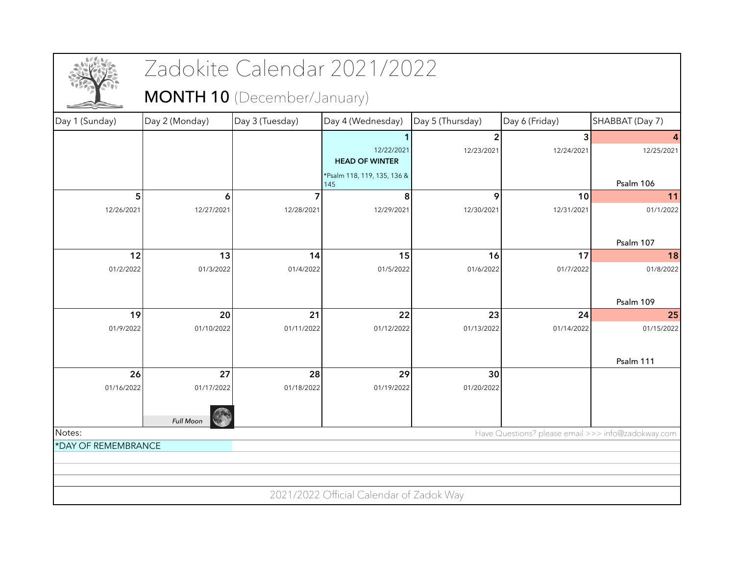|                     |                  | Zadokite Calendar 2021/2022        |                                          |                  |                |                                                    |
|---------------------|------------------|------------------------------------|------------------------------------------|------------------|----------------|----------------------------------------------------|
|                     |                  | <b>MONTH 10</b> (December/January) |                                          |                  |                |                                                    |
| Day 1 (Sunday)      | Day 2 (Monday)   | Day 3 (Tuesday)                    | Day 4 (Wednesday)                        | Day 5 (Thursday) | Day 6 (Friday) | SHABBAT (Day 7)                                    |
|                     |                  |                                    |                                          | 2                | 3              | 4                                                  |
|                     |                  |                                    | 12/22/2021<br><b>HEAD OF WINTER</b>      | 12/23/2021       | 12/24/2021     | 12/25/2021                                         |
|                     |                  |                                    | *Psalm 118, 119, 135, 136 &<br>145       |                  |                | Psalm 106                                          |
| 5                   | 6                |                                    | 8                                        | 9                | 10             | 11                                                 |
| 12/26/2021          | 12/27/2021       | 12/28/2021                         | 12/29/2021                               | 12/30/2021       | 12/31/2021     | 01/1/2022                                          |
|                     |                  |                                    |                                          |                  |                | Psalm 107                                          |
| 12                  | 13               | 14                                 | 15                                       | 16               | 17             | 18                                                 |
| 01/2/2022           | 01/3/2022        | 01/4/2022                          | 01/5/2022                                | 01/6/2022        | 01/7/2022      | 01/8/2022                                          |
|                     |                  |                                    |                                          |                  |                | Psalm 109                                          |
| 19                  | 20               | 21                                 | 22                                       | 23               | 24             | 25                                                 |
| 01/9/2022           | 01/10/2022       | 01/11/2022                         | 01/12/2022                               | 01/13/2022       | 01/14/2022     | 01/15/2022                                         |
|                     |                  |                                    |                                          |                  |                | Psalm 111                                          |
| 26                  | 27               | 28                                 | 29                                       | 30               |                |                                                    |
| 01/16/2022          | 01/17/2022       | 01/18/2022                         | 01/19/2022                               | 01/20/2022       |                |                                                    |
|                     | <b>Full Moon</b> |                                    |                                          |                  |                |                                                    |
| Notes:              |                  |                                    |                                          |                  |                | Have Questions? please email >>> info@zadokway.com |
| *DAY OF REMEMBRANCE |                  |                                    |                                          |                  |                |                                                    |
|                     |                  |                                    |                                          |                  |                |                                                    |
|                     |                  |                                    |                                          |                  |                |                                                    |
|                     |                  |                                    | 2021/2022 Official Calendar of Zadok Way |                  |                |                                                    |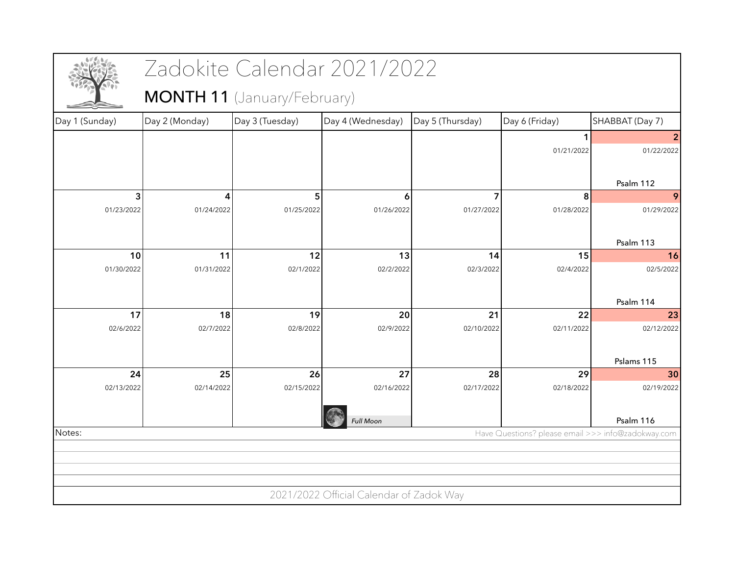|                |                  | Zadokite Calendar 2021/2022 |                                          |                  |                                                    |                  |
|----------------|------------------|-----------------------------|------------------------------------------|------------------|----------------------------------------------------|------------------|
|                |                  | MONTH 11 (January/February) |                                          |                  |                                                    |                  |
| Day 1 (Sunday) | Day 2 (Monday)   | Day 3 (Tuesday)             | Day 4 (Wednesday)                        | Day 5 (Thursday) | Day 6 (Friday)                                     | SHABBAT (Day 7)  |
|                |                  |                             |                                          |                  |                                                    |                  |
|                |                  |                             |                                          |                  | 01/21/2022                                         | 01/22/2022       |
|                |                  |                             |                                          |                  |                                                    |                  |
|                |                  |                             |                                          |                  |                                                    | Psalm 112        |
| 3              | 4                | 5                           | 6                                        |                  | 8                                                  | 9                |
| 01/23/2022     | 01/24/2022       | 01/25/2022                  | 01/26/2022                               | 01/27/2022       | 01/28/2022                                         | 01/29/2022       |
|                |                  |                             |                                          |                  |                                                    |                  |
|                |                  |                             |                                          |                  |                                                    | Psalm 113        |
| 10             | 11               | 12                          | 13                                       | 14               | 15                                                 | 16               |
| 01/30/2022     | 01/31/2022       | 02/1/2022                   | 02/2/2022                                | 02/3/2022        | 02/4/2022                                          | 02/5/2022        |
|                |                  |                             |                                          |                  |                                                    |                  |
|                |                  |                             |                                          |                  |                                                    | Psalm 114        |
| 17             | 18               | 19                          | 20                                       | 21               | 22                                                 | 23<br>02/12/2022 |
| 02/6/2022      | 02/7/2022        | 02/8/2022                   | 02/9/2022                                | 02/10/2022       | 02/11/2022                                         |                  |
|                |                  |                             |                                          |                  |                                                    |                  |
|                |                  |                             |                                          |                  |                                                    | Pslams 115       |
| 24             | 25<br>02/14/2022 | 26                          | 27                                       | 28               | 29                                                 | 30               |
| 02/13/2022     |                  | 02/15/2022                  | 02/16/2022                               | 02/17/2022       | 02/18/2022                                         | 02/19/2022       |
|                |                  |                             |                                          |                  |                                                    |                  |
|                |                  |                             | <b>Full Moon</b>                         |                  |                                                    | Psalm 116        |
| Notes:         |                  |                             |                                          |                  | Have Questions? please email >>> info@zadokway.com |                  |
|                |                  |                             |                                          |                  |                                                    |                  |
|                |                  |                             |                                          |                  |                                                    |                  |
|                |                  |                             |                                          |                  |                                                    |                  |
|                |                  |                             | 2021/2022 Official Calendar of Zadok Way |                  |                                                    |                  |